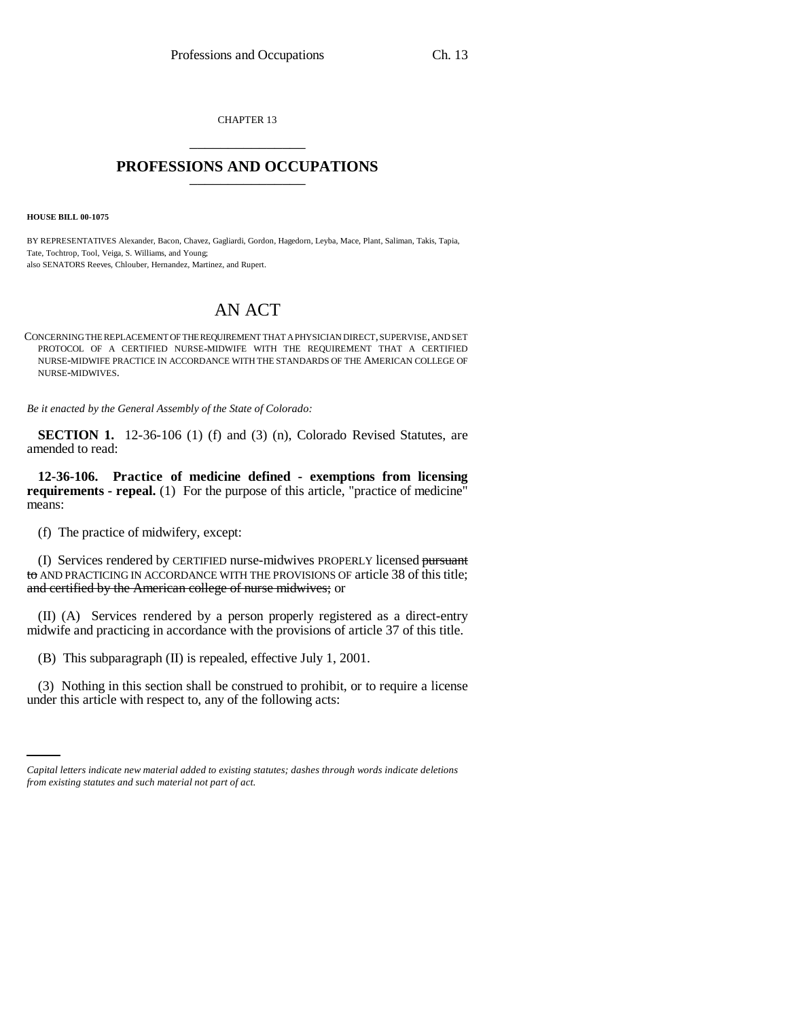CHAPTER 13 \_\_\_\_\_\_\_\_\_\_\_\_\_\_\_

## **PROFESSIONS AND OCCUPATIONS** \_\_\_\_\_\_\_\_\_\_\_\_\_\_\_

**HOUSE BILL 00-1075** 

BY REPRESENTATIVES Alexander, Bacon, Chavez, Gagliardi, Gordon, Hagedorn, Leyba, Mace, Plant, Saliman, Takis, Tapia, Tate, Tochtrop, Tool, Veiga, S. Williams, and Young; also SENATORS Reeves, Chlouber, Hernandez, Martinez, and Rupert.

## AN ACT

CONCERNING THE REPLACEMENT OF THE REQUIREMENT THAT A PHYSICIAN DIRECT, SUPERVISE, AND SET PROTOCOL OF A CERTIFIED NURSE-MIDWIFE WITH THE REQUIREMENT THAT A CERTIFIED NURSE-MIDWIFE PRACTICE IN ACCORDANCE WITH THE STANDARDS OF THE AMERICAN COLLEGE OF NURSE-MIDWIVES.

*Be it enacted by the General Assembly of the State of Colorado:*

**SECTION 1.** 12-36-106 (1) (f) and (3) (n), Colorado Revised Statutes, are amended to read:

**12-36-106. Practice of medicine defined - exemptions from licensing requirements - repeal.** (1) For the purpose of this article, "practice of medicine" means:

(f) The practice of midwifery, except:

(I) Services rendered by CERTIFIED nurse-midwives PROPERLY licensed pursuant to AND PRACTICING IN ACCORDANCE WITH THE PROVISIONS OF article 38 of this title; and certified by the American college of nurse midwives; or

(II) (A) Services rendered by a person properly registered as a direct-entry midwife and practicing in accordance with the provisions of article 37 of this title.

(B) This subparagraph (II) is repealed, effective July 1, 2001.

(3) Nothing in this section shall be construed to prohibit, or to require a license under this article with respect to, any of the following acts:

*Capital letters indicate new material added to existing statutes; dashes through words indicate deletions from existing statutes and such material not part of act.*